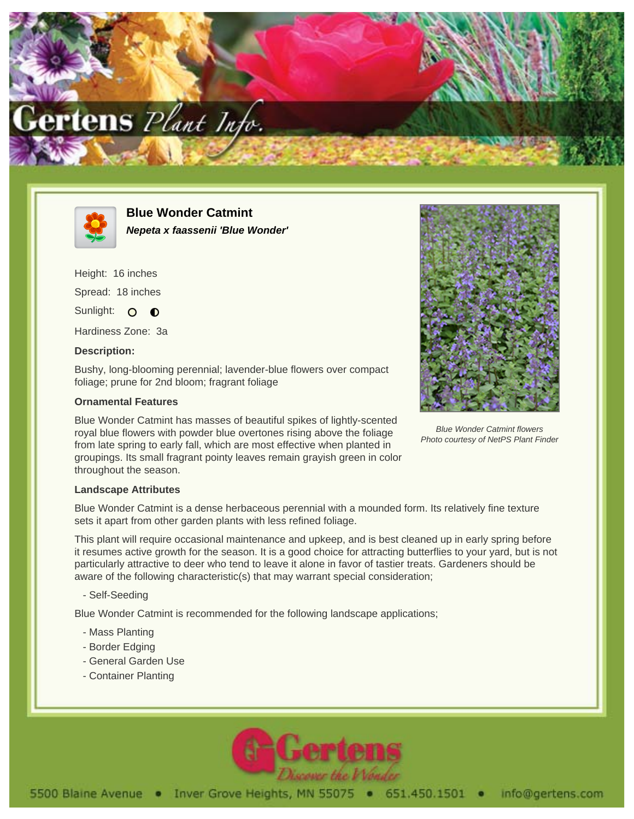



**Blue Wonder Catmint Nepeta x faassenii 'Blue Wonder'**

Height: 16 inches Spread: 18 inches Sunlight: O O

Hardiness Zone: 3a

## **Description:**

Bushy, long-blooming perennial; lavender-blue flowers over compact foliage; prune for 2nd bloom; fragrant foliage

## **Ornamental Features**

Blue Wonder Catmint has masses of beautiful spikes of lightly-scented royal blue flowers with powder blue overtones rising above the foliage from late spring to early fall, which are most effective when planted in groupings. Its small fragrant pointy leaves remain grayish green in color throughout the season.



Blue Wonder Catmint flowers Photo courtesy of NetPS Plant Finder

### **Landscape Attributes**

Blue Wonder Catmint is a dense herbaceous perennial with a mounded form. Its relatively fine texture sets it apart from other garden plants with less refined foliage.

This plant will require occasional maintenance and upkeep, and is best cleaned up in early spring before it resumes active growth for the season. It is a good choice for attracting butterflies to your yard, but is not particularly attractive to deer who tend to leave it alone in favor of tastier treats. Gardeners should be aware of the following characteristic(s) that may warrant special consideration;

#### - Self-Seeding

Blue Wonder Catmint is recommended for the following landscape applications;

- Mass Planting
- Border Edging
- General Garden Use
- Container Planting